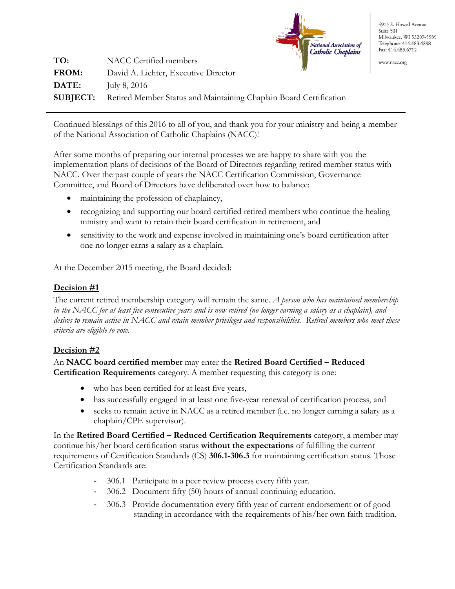

4915 S. Howell Avenue Suite 501 Milwaukee, WI 53207-5939 Telephone: 414.483.4898 Fax: 414.483.6712

www.nacc.org

| TO:          | $\cdots$ . $\cdots$ $\cdots$ $\cdots$ $\cdots$<br>NACC Certified members           |
|--------------|------------------------------------------------------------------------------------|
| <b>FROM:</b> | David A. Lichter, Executive Director                                               |
| <b>DATE:</b> | July 8, $2016$                                                                     |
|              | <b>SUBJECT:</b> Retired Member Status and Maintaining Chaplain Board Certification |

Continued blessings of this 2016 to all of you, and thank you for your ministry and being a member of the National Association of Catholic Chaplains (NACC)!

After some months of preparing our internal processes we are happy to share with you the implementation plans of decisions of the Board of Directors regarding retired member status with NACC. Over the past couple of years the NACC Certification Commission, Governance Committee, and Board of Directors have deliberated over how to balance:

- maintaining the profession of chaplaincy,
- recognizing and supporting our board certified retired members who continue the healing ministry and want to retain their board certification in retirement, and
- sensitivity to the work and expense involved in maintaining one's board certification after one no longer earns a salary as a chaplain.

At the December 2015 meeting, the Board decided:

## **Decision #1**

The current retired membership category will remain the same. *A person who has maintained membership in the NACC for at least five consecutive years and is now retired (no longer earning a salary as a chaplain), and desires to remain active in NACC and retain member privileges and responsibilities. Retired members who meet these criteria are eligible to vote.* 

### **Decision #2**

## An **NACC board certified member** may enter the **Retired Board Certified – Reduced Certification Requirements** category. A member requesting this category is one:

- who has been certified for at least five years,
- has successfully engaged in at least one five-year renewal of certification process, and
- seeks to remain active in NACC as a retired member (i.e. no longer earning a salary as a chaplain/CPE supervisor).

In the **Retired Board Certified – Reduced Certification Requirements** category, a member may continue his/her board certification status **without the expectations** of fulfilling the current requirements of Certification Standards (CS) **306.1-306.3** for maintaining certification status. Those Certification Standards are:

- 306.1 Participate in a peer review process every fifth year.
- 306.2 Document fifty (50) hours of annual continuing education.
- 306.3 Provide documentation every fifth year of current endorsement or of good standing in accordance with the requirements of his/her own faith tradition.